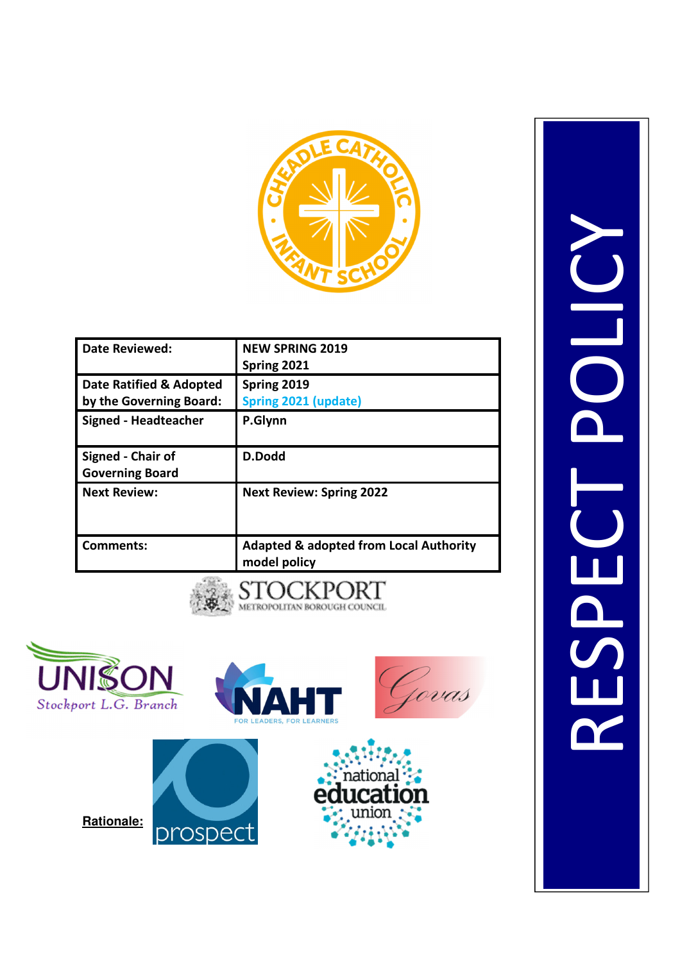

| <b>Date Reviewed:</b>       | <b>NEW SPRING 2019</b>                                            |
|-----------------------------|-------------------------------------------------------------------|
|                             | Spring 2021                                                       |
| Date Ratified & Adopted     | Spring 2019                                                       |
| by the Governing Board:     | Spring 2021 (update)                                              |
| <b>Signed - Headteacher</b> | P.Glynn                                                           |
| Signed - Chair of           | D.Dodd                                                            |
| <b>Governing Board</b>      |                                                                   |
| <b>Next Review:</b>         | <b>Next Review: Spring 2022</b>                                   |
| Comments:                   | <b>Adapted &amp; adopted from Local Authority</b><br>model policy |
|                             |                                                                   |





RESPECT POLICYOLIC RESPE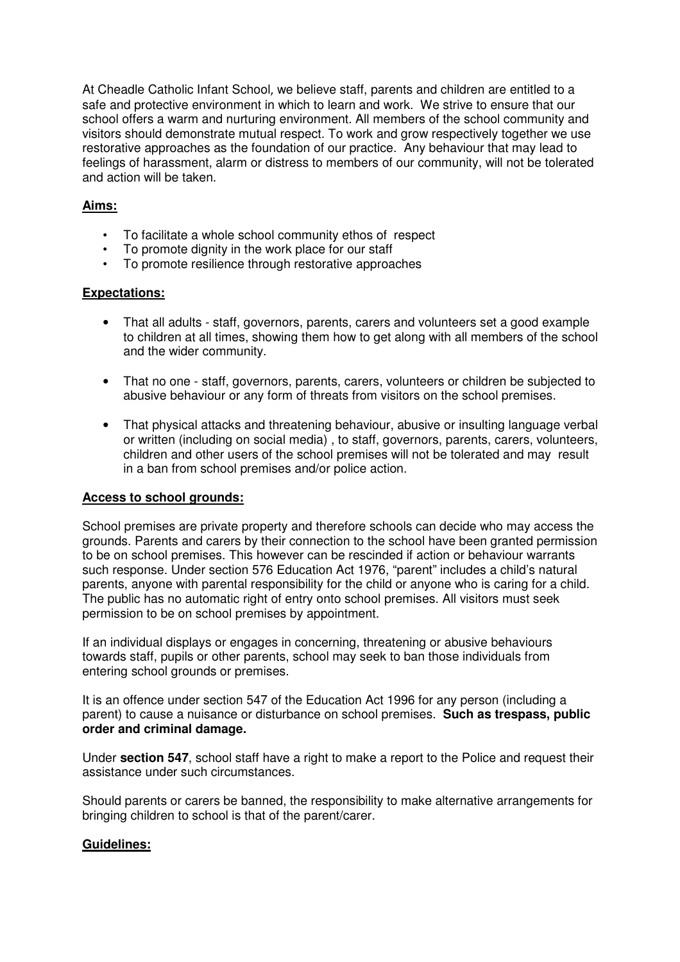At Cheadle Catholic Infant School, we believe staff, parents and children are entitled to a safe and protective environment in which to learn and work. We strive to ensure that our school offers a warm and nurturing environment. All members of the school community and visitors should demonstrate mutual respect. To work and grow respectively together we use restorative approaches as the foundation of our practice. Any behaviour that may lead to feelings of harassment, alarm or distress to members of our community, will not be tolerated and action will be taken.

## **Aims:**

- To facilitate a whole school community ethos of respect
- To promote dignity in the work place for our staff
- To promote resilience through restorative approaches

## **Expectations:**

- That all adults staff, governors, parents, carers and volunteers set a good example to children at all times, showing them how to get along with all members of the school and the wider community.
- That no one staff, governors, parents, carers, volunteers or children be subjected to abusive behaviour or any form of threats from visitors on the school premises.
- That physical attacks and threatening behaviour, abusive or insulting language verbal or written (including on social media) , to staff, governors, parents, carers, volunteers, children and other users of the school premises will not be tolerated and may result in a ban from school premises and/or police action.

## **Access to school grounds:**

School premises are private property and therefore schools can decide who may access the grounds. Parents and carers by their connection to the school have been granted permission to be on school premises. This however can be rescinded if action or behaviour warrants such response. Under section 576 Education Act 1976, "parent" includes a child's natural parents, anyone with parental responsibility for the child or anyone who is caring for a child. The public has no automatic right of entry onto school premises. All visitors must seek permission to be on school premises by appointment.

If an individual displays or engages in concerning, threatening or abusive behaviours towards staff, pupils or other parents, school may seek to ban those individuals from entering school grounds or premises.

It is an offence under section 547 of the Education Act 1996 for any person (including a parent) to cause a nuisance or disturbance on school premises. **Such as trespass, public order and criminal damage.** 

Under **section 547**, school staff have a right to make a report to the Police and request their assistance under such circumstances.

Should parents or carers be banned, the responsibility to make alternative arrangements for bringing children to school is that of the parent/carer.

## **Guidelines:**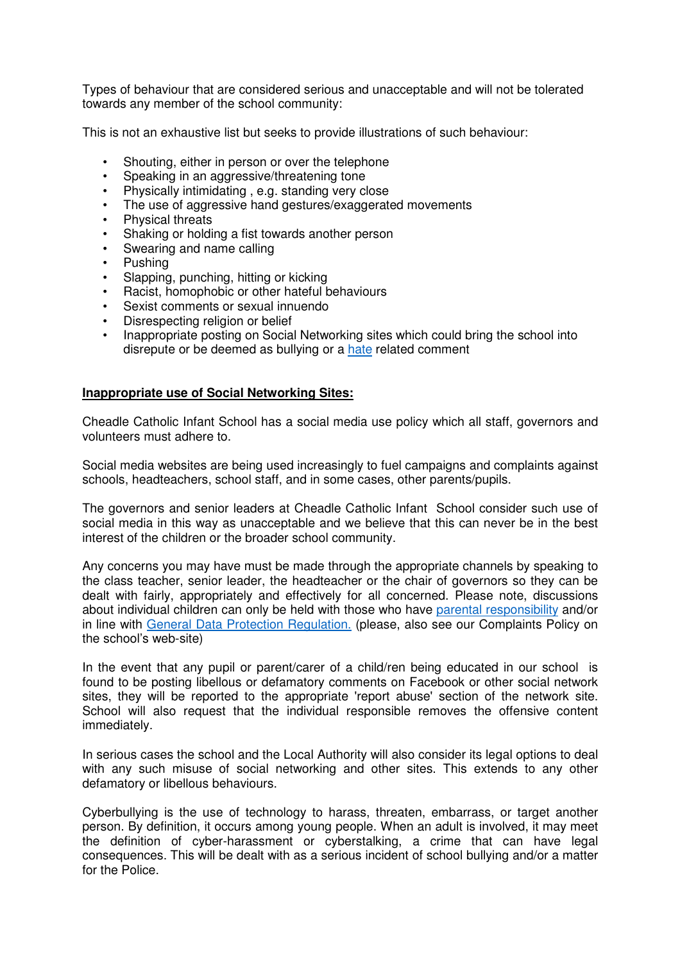Types of behaviour that are considered serious and unacceptable and will not be tolerated towards any member of the school community:

This is not an exhaustive list but seeks to provide illustrations of such behaviour:

- Shouting, either in person or over the telephone
- Speaking in an aggressive/threatening tone
- Physically intimidating , e.g. standing very close
- The use of aggressive hand gestures/exaggerated movements
- Physical threats
- Shaking or holding a fist towards another person
- Swearing and name calling
- Pushing
- Slapping, punching, hitting or kicking
- Racist, homophobic or other hateful behaviours
- Sexist comments or sexual innuendo
- Disrespecting religion or belief
- Inappropriate posting on Social Networking sites which could bring the school into disrepute or be deemed as bullying or a hate related comment

#### **Inappropriate use of Social Networking Sites:**

Cheadle Catholic Infant School has a social media use policy which all staff, governors and volunteers must adhere to.

Social media websites are being used increasingly to fuel campaigns and complaints against schools, headteachers, school staff, and in some cases, other parents/pupils.

The governors and senior leaders at Cheadle Catholic Infant School consider such use of social media in this way as unacceptable and we believe that this can never be in the best interest of the children or the broader school community.

Any concerns you may have must be made through the appropriate channels by speaking to the class teacher, senior leader, the headteacher or the chair of governors so they can be dealt with fairly, appropriately and effectively for all concerned. Please note, discussions about individual children can only be held with those who have parental responsibility and/or in line with General Data Protection Regulation. (please, also see our Complaints Policy on the school's web-site)

In the event that any pupil or parent/carer of a child/ren being educated in our school is found to be posting libellous or defamatory comments on Facebook or other social network sites, they will be reported to the appropriate 'report abuse' section of the network site. School will also request that the individual responsible removes the offensive content immediately.

In serious cases the school and the Local Authority will also consider its legal options to deal with any such misuse of social networking and other sites. This extends to any other defamatory or libellous behaviours.

Cyberbullying is the use of technology to harass, threaten, embarrass, or target another person. By definition, it occurs among young people. When an adult is involved, it may meet the definition of cyber-harassment or cyberstalking, a crime that can have legal consequences. This will be dealt with as a serious incident of school bullying and/or a matter for the Police.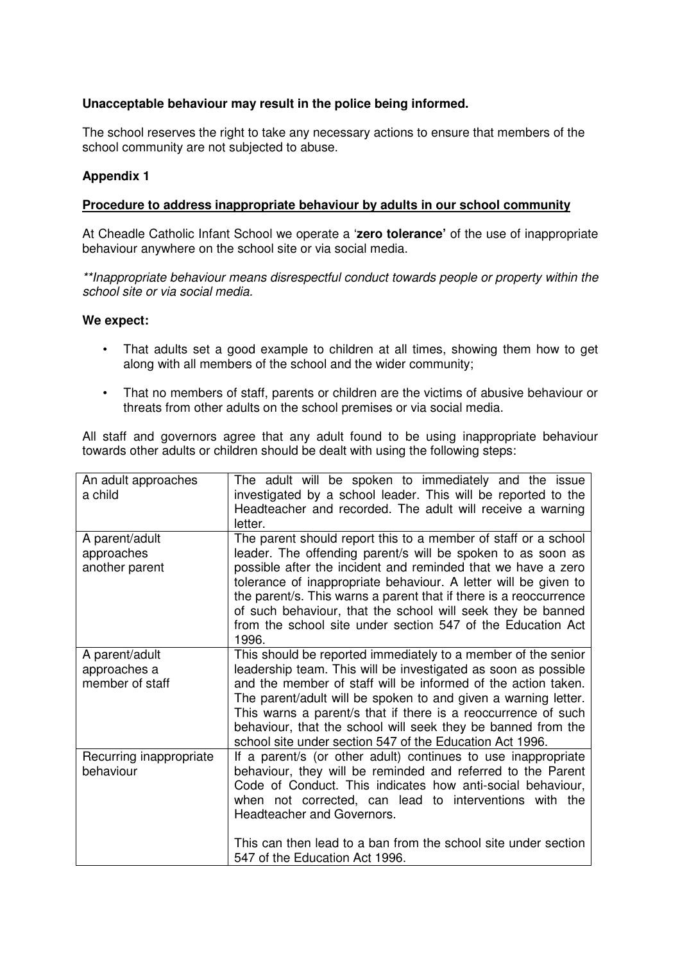# **Unacceptable behaviour may result in the police being informed.**

The school reserves the right to take any necessary actions to ensure that members of the school community are not subjected to abuse.

#### **Appendix 1**

#### **Procedure to address inappropriate behaviour by adults in our school community**

At Cheadle Catholic Infant School we operate a '**zero tolerance'** of the use of inappropriate behaviour anywhere on the school site or via social media.

\*\*Inappropriate behaviour means disrespectful conduct towards people or property within the school site or via social media.

#### **We expect:**

- That adults set a good example to children at all times, showing them how to get along with all members of the school and the wider community;
- That no members of staff, parents or children are the victims of abusive behaviour or threats from other adults on the school premises or via social media.

All staff and governors agree that any adult found to be using inappropriate behaviour towards other adults or children should be dealt with using the following steps:

| An adult approaches<br>a child                    | The adult will be spoken to immediately and the issue<br>investigated by a school leader. This will be reported to the<br>Headteacher and recorded. The adult will receive a warning<br>letter.                                                                                                                                                                                                                                                                              |
|---------------------------------------------------|------------------------------------------------------------------------------------------------------------------------------------------------------------------------------------------------------------------------------------------------------------------------------------------------------------------------------------------------------------------------------------------------------------------------------------------------------------------------------|
| A parent/adult<br>approaches<br>another parent    | The parent should report this to a member of staff or a school<br>leader. The offending parent/s will be spoken to as soon as<br>possible after the incident and reminded that we have a zero<br>tolerance of inappropriate behaviour. A letter will be given to<br>the parent/s. This warns a parent that if there is a reoccurrence<br>of such behaviour, that the school will seek they be banned<br>from the school site under section 547 of the Education Act<br>1996. |
| A parent/adult<br>approaches a<br>member of staff | This should be reported immediately to a member of the senior<br>leadership team. This will be investigated as soon as possible<br>and the member of staff will be informed of the action taken.<br>The parent/adult will be spoken to and given a warning letter.<br>This warns a parent/s that if there is a reoccurrence of such<br>behaviour, that the school will seek they be banned from the<br>school site under section 547 of the Education Act 1996.              |
| Recurring inappropriate<br>behaviour              | If a parent/s (or other adult) continues to use inappropriate<br>behaviour, they will be reminded and referred to the Parent<br>Code of Conduct. This indicates how anti-social behaviour,<br>when not corrected, can lead to interventions with the<br>Headteacher and Governors.<br>This can then lead to a ban from the school site under section<br>547 of the Education Act 1996.                                                                                       |